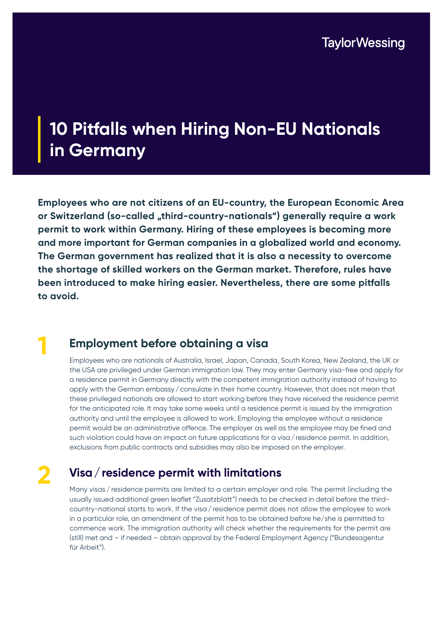### **10 Pitfalls when Hiring Non-EU Nationals in Germany**

**Employees who are not citizens of an EU-country, the European Economic Area**  or Switzerland (so-called "third-country-nationals") generally require a work **permit to work within Germany. Hiring of these employees is becoming more and more important for German companies in a globalized world and economy. The German government has realized that it is also a necessity to overcome the shortage of skilled workers on the German market. Therefore, rules have been introduced to make hiring easier. Nevertheless, there are some pitfalls to avoid.** 

# **1**

#### **Employment before obtaining a visa**

Employees who are nationals of Australia, Israel, Japan, Canada, South Korea, New Zealand, the UK or the USA are privileged under German immigration law. They may enter Germany visa-free and apply for a residence permit in Germany directly with the competent immigration authority instead of having to apply with the German embassy/consulate in their home country. However, that does not mean that these privileged nationals are allowed to start working before they have received the residence permit for the anticipated role. It may take some weeks until a residence permit is issued by the immigration authority and until the employee is allowed to work. Employing the employee without a residence permit would be an administrative offence. The employer as well as the employee may be fined and such violation could have an impact on future applications for a visa/residence permit. In addition, exclusions from public contracts and subsidies may also be imposed on the employer.

## **2**

#### **Visa/residence permit with limitations**

Many visas / residence permits are limited to a certain employer and role. The permit (including the usually issued additional green leaflet "Zusatzblatt") needs to be checked in detail before the thirdcountry-national starts to work. If the visa/ residence permit does not allow the employee to work in a particular role, an amendment of the permit has to be obtained before he/she is permitted to commence work. The immigration authority will check whether the requirements for the permit are (still) met and – if needed – obtain approval by the Federal Employment Agency ("Bundesagentur für Arbeit").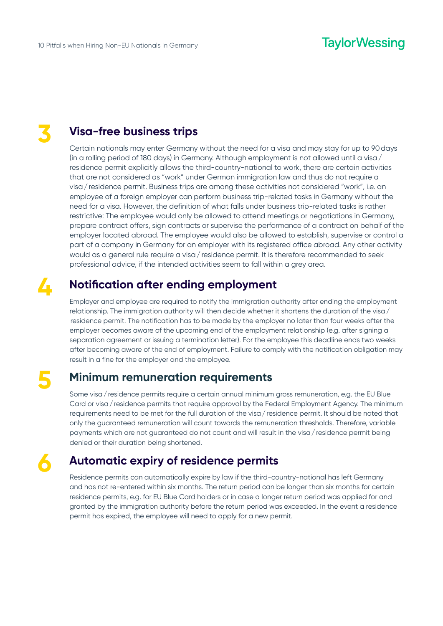## **3**

#### **Visa-free business trips**

Certain nationals may enter Germany without the need for a visa and may stay for up to 90days (in a rolling period of 180 days) in Germany. Although employment is not allowed until a visa/ residence permit explicitly allows the third-country-national to work, there are certain activities that are not considered as "work" under German immigration law and thus do not require a visa/residence permit. Business trips are among these activities not considered "work", i.e. an employee of a foreign employer can perform business trip-related tasks in Germany without the need for a visa. However, the definition of what falls under business trip-related tasks is rather restrictive: The employee would only be allowed to attend meetings or negotiations in Germany, prepare contract offers, sign contracts or supervise the performance of a contract on behalf of the employer located abroad. The employee would also be allowed to establish, supervise or control a part of a company in Germany for an employer with its registered office abroad. Any other activity would as a general rule require a visa / residence permit. It is therefore recommended to seek professional advice, if the intended activities seem to fall within a grey area.

### **4**

**5**

**6**

#### **Notification after ending employment**

Employer and employee are required to notify the immigration authority after ending the employment relationship. The immigration authority will then decide whether it shortens the duration of the visa/ residence permit. The notification has to be made by the employer no later than four weeks after the employer becomes aware of the upcoming end of the employment relationship (e.g. after signing a separation agreement or issuing a termination letter). For the employee this deadline ends two weeks after becoming aware of the end of employment. Failure to comply with the notification obligation may result in a fine for the employer and the employee.

#### **Minimum remuneration requirements**

Some visa / residence permits require a certain annual minimum gross remuneration, e.g. the EU Blue Card or visa / residence permits that require approval by the Federal Employment Agency. The minimum requirements need to be met for the full duration of the visa/residence permit. It should be noted that only the guaranteed remuneration will count towards the remuneration thresholds. Therefore, variable payments which are not guaranteed do not count and will result in the visa / residence permit being denied or their duration being shortened.

#### **Automatic expiry of residence permits**

Residence permits can automatically expire by law if the third-country-national has left Germany and has not re-entered within six months. The return period can be longer than six months for certain residence permits, e.g. for EU Blue Card holders or in case a longer return period was applied for and granted by the immigration authority before the return period was exceeded. In the event a residence permit has expired, the employee will need to apply for a new permit.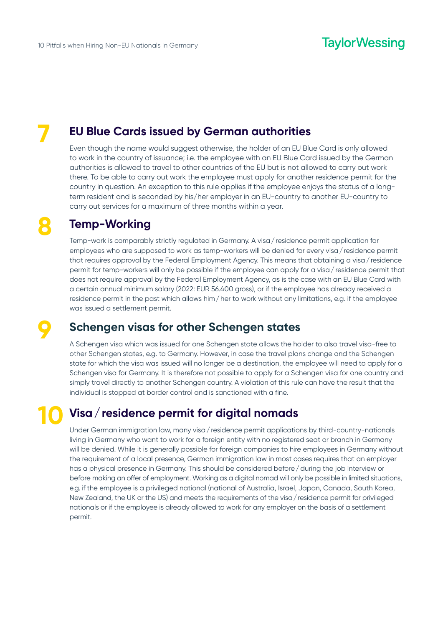**7**

#### **EU Blue Cards issued by German authorities**

Even though the name would suggest otherwise, the holder of an EU Blue Card is only allowed to work in the country of issuance; i.e. the employee with an EU Blue Card issued by the German authorities is allowed to travel to other countries of the EU but is not allowed to carry out work there. To be able to carry out work the employee must apply for another residence permit for the country in question. An exception to this rule applies if the employee enjoys the status of a longterm resident and is seconded by his/her employer in an EU-country to another EU-country to carry out services for a maximum of three months within a year.

## **8**

#### **Temp-Working**

Temp-work is comparably strictly regulated in Germany. A visa/residence permit application for employees who are supposed to work as temp-workers will be denied for every visa/residence permit that requires approval by the Federal Employment Agency. This means that obtaining a visa / residence permit for temp-workers will only be possible if the employee can apply for a visa/residence permit that does not require approval by the Federal Employment Agency, as is the case with an EU Blue Card with a certain annual minimum salary (2022: EUR 56.400 gross), or if the employee has already received a residence permit in the past which allows him/her to work without any limitations, e.g. if the employee was issued a settlement permit.

**9**

#### **Schengen visas for other Schengen states**

A Schengen visa which was issued for one Schengen state allows the holder to also travel visa-free to other Schengen states, e.g. to Germany. However, in case the travel plans change and the Schengen state for which the visa was issued will no longer be a destination, the employee will need to apply for a Schengen visa for Germany. It is therefore not possible to apply for a Schengen visa for one country and simply travel directly to another Schengen country. A violation of this rule can have the result that the individual is stopped at border control and is sanctioned with a fine.

## **10**

#### **Visa/residence permit for digital nomads**

Under German immigration law, many visa/residence permit applications by third-country-nationals living in Germany who want to work for a foreign entity with no registered seat or branch in Germany will be denied. While it is generally possible for foreign companies to hire employees in Germany without the requirement of a local presence, German immigration law in most cases requires that an employer has a physical presence in Germany. This should be considered before/during the job interview or before making an offer of employment. Working as a digital nomad will only be possible in limited situations, e.g. if the employee is a privileged national (national of Australia, Israel, Japan, Canada, South Korea, New Zealand, the UK or the US) and meets the requirements of the visa/residence permit for privileged nationals or if the employee is already allowed to work for any employer on the basis of a settlement permit.